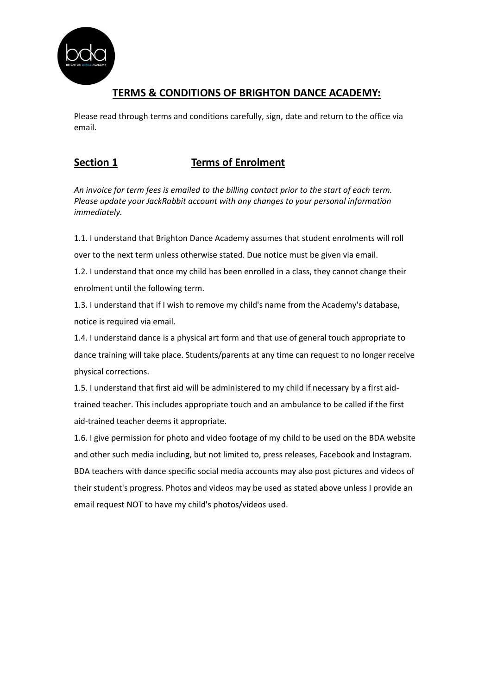

# **TERMS & CONDITIONS OF BRIGHTON DANCE ACADEMY:**

Please read through terms and conditions carefully, sign, date and return to the office via email.

### **Section 1 Terms of Enrolment**

*An invoice for term fees is emailed to the billing contact prior to the start of each term. Please update your JackRabbit account with any changes to your personal information immediately.*

1.1. I understand that Brighton Dance Academy assumes that student enrolments will roll over to the next term unless otherwise stated. Due notice must be given via email.

1.2. I understand that once my child has been enrolled in a class, they cannot change their enrolment until the following term.

1.3. I understand that if I wish to remove my child's name from the Academy's database, notice is required via email.

1.4. I understand dance is a physical art form and that use of general touch appropriate to dance training will take place. Students/parents at any time can request to no longer receive physical corrections.

1.5. I understand that first aid will be administered to my child if necessary by a first aidtrained teacher. This includes appropriate touch and an ambulance to be called if the first aid-trained teacher deems it appropriate.

1.6. I give permission for photo and video footage of my child to be used on the BDA website and other such media including, but not limited to, press releases, Facebook and Instagram. BDA teachers with dance specific social media accounts may also post pictures and videos of their student's progress. Photos and videos may be used as stated above unless I provide an email request NOT to have my child's photos/videos used.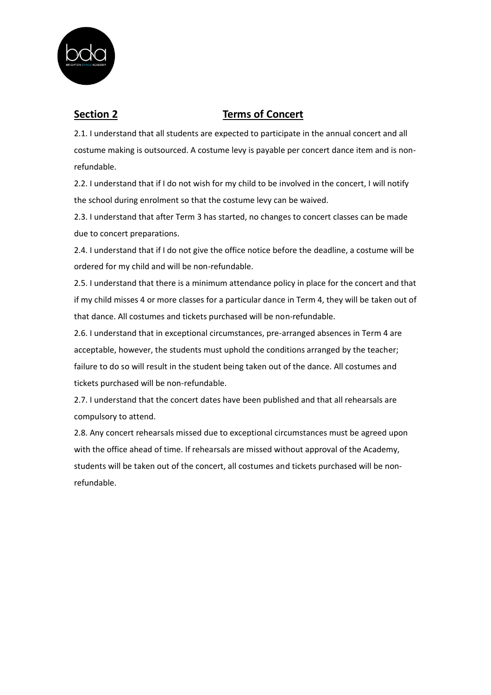

## **Section 2 Terms of Concert**

2.1. I understand that all students are expected to participate in the annual concert and all costume making is outsourced. A costume levy is payable per concert dance item and is nonrefundable.

2.2. I understand that if I do not wish for my child to be involved in the concert, I will notify the school during enrolment so that the costume levy can be waived.

2.3. I understand that after Term 3 has started, no changes to concert classes can be made due to concert preparations.

2.4. I understand that if I do not give the office notice before the deadline, a costume will be ordered for my child and will be non-refundable.

2.5. I understand that there is a minimum attendance policy in place for the concert and that if my child misses 4 or more classes for a particular dance in Term 4, they will be taken out of that dance. All costumes and tickets purchased will be non-refundable.

2.6. I understand that in exceptional circumstances, pre-arranged absences in Term 4 are acceptable, however, the students must uphold the conditions arranged by the teacher; failure to do so will result in the student being taken out of the dance. All costumes and tickets purchased will be non-refundable.

2.7. I understand that the concert dates have been published and that all rehearsals are compulsory to attend.

2.8. Any concert rehearsals missed due to exceptional circumstances must be agreed upon with the office ahead of time. If rehearsals are missed without approval of the Academy, students will be taken out of the concert, all costumes and tickets purchased will be nonrefundable.